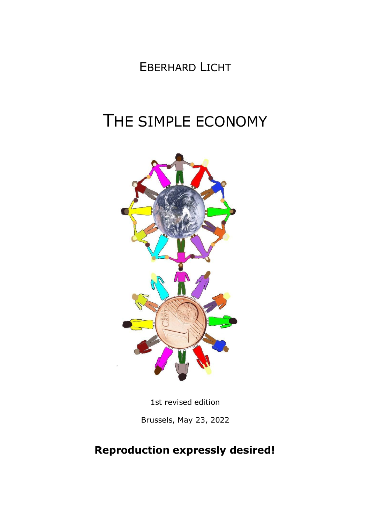EBERHARD LICHT

# THE SIMPLE ECONOMY



1st revised edition

Brussels, May 23, 2022

# **Reproduction expressly desired!**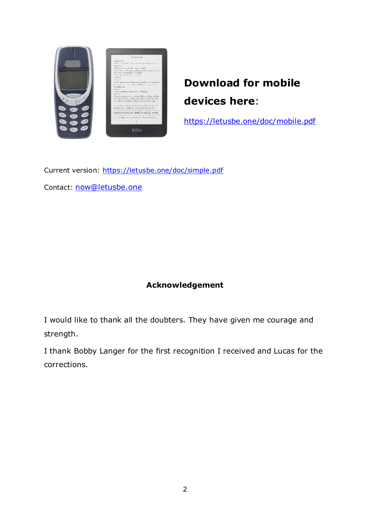

# **Download for mobile devices here**:

<https://letusbe.one/doc/mobile.pdf>

Current version:<https://letusbe.one/doc/simple.pdf>

Contact: [now@letusbe.one](mailto:now@letusbe.one)

### **Acknowledgement**

I would like to thank all the doubters. They have given me courage and strength.

I thank Bobby Langer for the first recognition I received and Lucas for the corrections.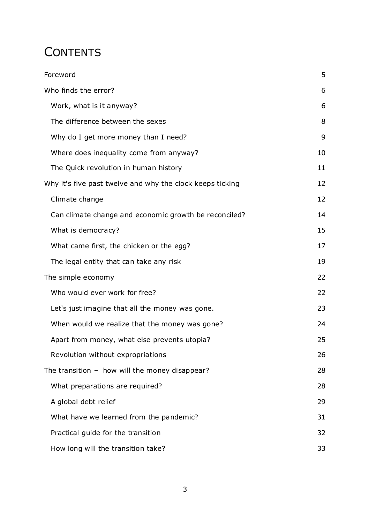# <span id="page-2-0"></span>**CONTENTS**

| Foreword                                                  | 5  |
|-----------------------------------------------------------|----|
| Who finds the error?                                      | 6  |
| Work, what is it anyway?                                  | 6  |
| The difference between the sexes                          | 8  |
| Why do I get more money than I need?                      | 9  |
| Where does inequality come from anyway?                   | 10 |
| The Quick revolution in human history                     | 11 |
| Why it's five past twelve and why the clock keeps ticking | 12 |
| Climate change                                            | 12 |
| Can climate change and economic growth be reconciled?     | 14 |
| What is democracy?                                        | 15 |
| What came first, the chicken or the egg?                  | 17 |
| The legal entity that can take any risk                   | 19 |
| The simple economy                                        | 22 |
| Who would ever work for free?                             | 22 |
| Let's just imagine that all the money was gone.           | 23 |
| When would we realize that the money was gone?            | 24 |
| Apart from money, what else prevents utopia?              | 25 |
| Revolution without expropriations                         | 26 |
| The transition $-$ how will the money disappear?          | 28 |
| What preparations are required?                           | 28 |
| A global debt relief                                      | 29 |
| What have we learned from the pandemic?                   | 31 |
| Practical guide for the transition                        | 32 |
| How long will the transition take?                        | 33 |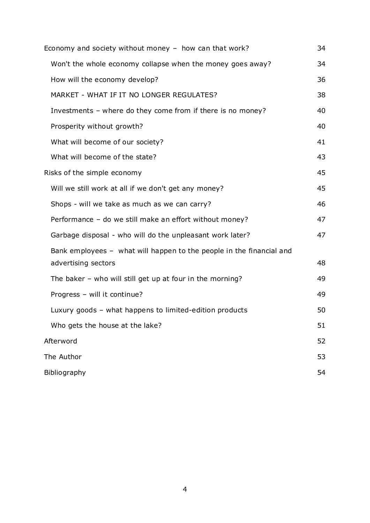| Economy and society without money - how can that work?               | 34 |
|----------------------------------------------------------------------|----|
| Won't the whole economy collapse when the money goes away?           | 34 |
| How will the economy develop?                                        | 36 |
| MARKET - WHAT IF IT NO LONGER REGULATES?                             | 38 |
| Investments - where do they come from if there is no money?          | 40 |
| Prosperity without growth?                                           | 40 |
| What will become of our society?                                     | 41 |
| What will become of the state?                                       | 43 |
| Risks of the simple economy                                          | 45 |
| Will we still work at all if we don't get any money?                 | 45 |
| Shops - will we take as much as we can carry?                        | 46 |
| Performance - do we still make an effort without money?              | 47 |
| Garbage disposal - who will do the unpleasant work later?            | 47 |
| Bank employees - what will happen to the people in the financial and |    |
| advertising sectors                                                  | 48 |
| The baker $-$ who will still get up at four in the morning?          | 49 |
| Progress - will it continue?                                         | 49 |
| Luxury goods - what happens to limited-edition products              | 50 |
| Who gets the house at the lake?                                      | 51 |
| Afterword                                                            | 52 |
| The Author                                                           | 53 |
| Bibliography                                                         | 54 |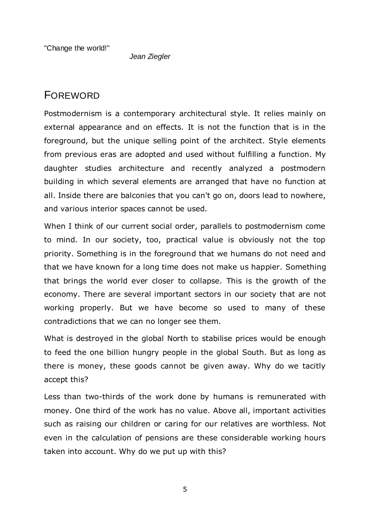"Change the world!"

*Jean Ziegler*

# <span id="page-4-0"></span>FOREWORD

Postmodernism is a contemporary architectural style. It relies mainly on external appearance and on effects. It is not the function that is in the foreground, but the unique selling point of the architect. Style elements from previous eras are adopted and used without fulfilling a function. My daughter studies architecture and recently analyzed a postmodern building in which several elements are arranged that have no function at all. Inside there are balconies that you can't go on, doors lead to nowhere, and various interior spaces cannot be used.

When I think of our current social order, parallels to postmodernism come to mind. In our society, too, practical value is obviously not the top priority. Something is in the foreground that we humans do not need and that we have known for a long time does not make us happier. Something that brings the world ever closer to collapse. This is the growth of the economy. There are several important sectors in our society that are not working properly. But we have become so used to many of these contradictions that we can no longer see them.

What is destroyed in the global North to stabilise prices would be enough to feed the one billion hungry people in the global South. But as long as there is money, these goods cannot be given away. Why do we tacitly accept this?

Less than two-thirds of the work done by humans is remunerated with money. One third of the work has no value. Above all, important activities such as raising our children or caring for our relatives are worthless. Not even in the calculation of pensions are these considerable working hours taken into account. Why do we put up with this?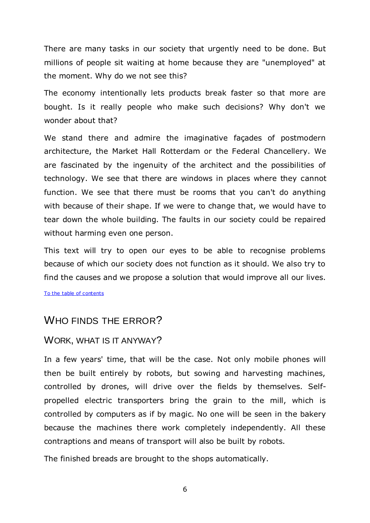There are many tasks in our society that urgently need to be done. But millions of people sit waiting at home because they are "unemployed" at the moment. Why do we not see this?

The economy intentionally lets products break faster so that more are bought. Is it really people who make such decisions? Why don't we wonder about that?

We stand there and admire the imaginative façades of postmodern architecture, the Market Hall Rotterdam or the Federal Chancellery. We are fascinated by the ingenuity of the architect and the possibilities of technology. We see that there are windows in places where they cannot function. We see that there must be rooms that you can't do anything with because of their shape. If we were to change that, we would have to tear down the whole building. The faults in our society could be repaired without harming even one person.

This text will try to open our eyes to be able to recognise problems because of which our society does not function as it should. We also try to find the causes and we propose a solution that would improve all our lives.

[To the table of contents](#page-2-0)

## <span id="page-5-0"></span>WHO FINDS THE ERROR?

#### <span id="page-5-1"></span>WORK, WHAT IS IT ANYWAY?

In a few years' time, that will be the case. Not only mobile phones will then be built entirely by robots, but sowing and harvesting machines, controlled by drones, will drive over the fields by themselves. Selfpropelled electric transporters bring the grain to the mill, which is controlled by computers as if by magic. No one will be seen in the bakery because the machines there work completely independently. All these contraptions and means of transport will also be built by robots.

The finished breads are brought to the shops automatically.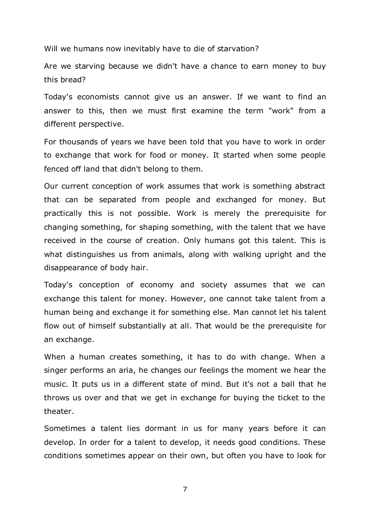Will we humans now inevitably have to die of starvation?

Are we starving because we didn't have a chance to earn money to buy this bread?

Today's economists cannot give us an answer. If we want to find an answer to this, then we must first examine the term "work" from a different perspective.

For thousands of years we have been told that you have to work in order to exchange that work for food or money. It started when some people fenced off land that didn't belong to them.

Our current conception of work assumes that work is something abstract that can be separated from people and exchanged for money. But practically this is not possible. Work is merely the prerequisite for changing something, for shaping something, with the talent that we have received in the course of creation. Only humans got this talent. This is what distinguishes us from animals, along with walking upright and the disappearance of body hair.

Today's conception of economy and society assumes that we can exchange this talent for money. However, one cannot take talent from a human being and exchange it for something else. Man cannot let his talent flow out of himself substantially at all. That would be the prerequisite for an exchange.

When a human creates something, it has to do with change. When a singer performs an aria, he changes our feelings the moment we hear the music. It puts us in a different state of mind. But it's not a ball that he throws us over and that we get in exchange for buying the ticket to the theater.

Sometimes a talent lies dormant in us for many years before it can develop. In order for a talent to develop, it needs good conditions. These conditions sometimes appear on their own, but often you have to look for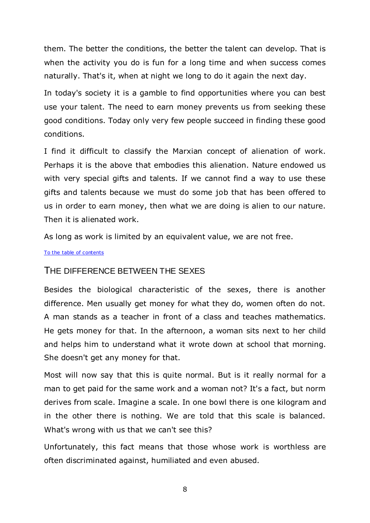them. The better the conditions, the better the talent can develop. That is when the activity you do is fun for a long time and when success comes naturally. That's it, when at night we long to do it again the next day.

In today's society it is a gamble to find opportunities where you can best use your talent. The need to earn money prevents us from seeking these good conditions. Today only very few people succeed in finding these good conditions.

I find it difficult to classify the Marxian concept of alienation of work. Perhaps it is the above that embodies this alienation. Nature endowed us with very special gifts and talents. If we cannot find a way to use these gifts and talents because we must do some job that has been offered to us in order to earn money, then what we are doing is alien to our nature. Then it is alienated work.

As long as work is limited by an equivalent value, we are not free.

#### [To the table of contents](#page-2-0)

### <span id="page-7-0"></span>THE DIFFERENCE BETWEEN THE SEXES

Besides the biological characteristic of the sexes, there is another difference. Men usually get money for what they do, women often do not. A man stands as a teacher in front of a class and teaches mathematics. He gets money for that. In the afternoon, a woman sits next to her child and helps him to understand what it wrote down at school that morning. She doesn't get any money for that.

Most will now say that this is quite normal. But is it really normal for a man to get paid for the same work and a woman not? It's a fact, but norm derives from scale. Imagine a scale. In one bowl there is one kilogram and in the other there is nothing. We are told that this scale is balanced. What's wrong with us that we can't see this?

Unfortunately, this fact means that those whose work is worthless are often discriminated against, humiliated and even abused.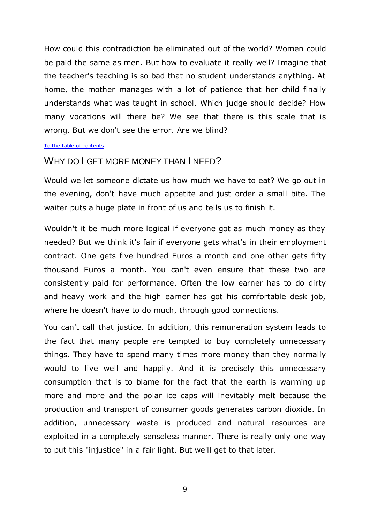How could this contradiction be eliminated out of the world? Women could be paid the same as men. But how to evaluate it really well? Imagine that the teacher's teaching is so bad that no student understands anything. At home, the mother manages with a lot of patience that her child finally understands what was taught in school. Which judge should decide? How many vocations will there be? We see that there is this scale that is wrong. But we don't see the error. Are we blind?

#### <span id="page-8-0"></span>[To the table of contents](#page-2-0)

### WHY DO I GFT MORE MONEY THAN I NEED?

Would we let someone dictate us how much we have to eat? We go out in the evening, don't have much appetite and just order a small bite. The waiter puts a huge plate in front of us and tells us to finish it.

Wouldn't it be much more logical if everyone got as much money as they needed? But we think it's fair if everyone gets what's in their employment contract. One gets five hundred Euros a month and one other gets fifty thousand Euros a month. You can't even ensure that these two are consistently paid for performance. Often the low earner has to do dirty and heavy work and the high earner has got his comfortable desk job, where he doesn't have to do much, through good connections.

You can't call that justice. In addition, this remuneration system leads to the fact that many people are tempted to buy completely unnecessary things. They have to spend many times more money than they normally would to live well and happily. And it is precisely this unnecessary consumption that is to blame for the fact that the earth is warming up more and more and the polar ice caps will inevitably melt because the production and transport of consumer goods generates carbon dioxide. In addition, unnecessary waste is produced and natural resources are exploited in a completely senseless manner. There is really only one way to put this "injustice" in a fair light. But we'll get to that later.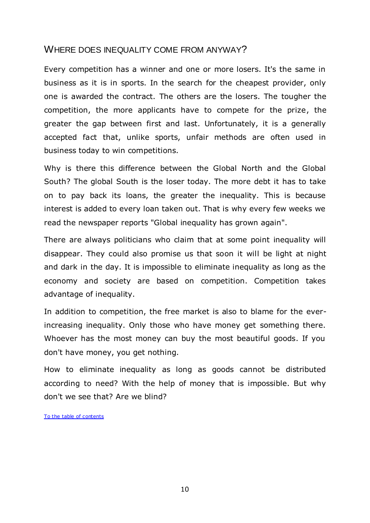### <span id="page-9-0"></span>WHERE DOES INEQUALITY COME FROM ANYWAY?

Every competition has a winner and one or more losers. It's the same in business as it is in sports. In the search for the cheapest provider, only one is awarded the contract. The others are the losers. The tougher the competition, the more applicants have to compete for the prize, the greater the gap between first and last. Unfortunately, it is a generally accepted fact that, unlike sports, unfair methods are often used in business today to win competitions.

Why is there this difference between the Global North and the Global South? The global South is the loser today. The more debt it has to take on to pay back its loans, the greater the inequality. This is because interest is added to every loan taken out. That is why every few weeks we read the newspaper reports "Global inequality has grown again".

There are always politicians who claim that at some point inequality will disappear. They could also promise us that soon it will be light at night and dark in the day. It is impossible to eliminate inequality as long as the economy and society are based on competition. Competition takes advantage of inequality.

In addition to competition, the free market is also to blame for the everincreasing inequality. Only those who have money get something there. Whoever has the most money can buy the most beautiful goods. If you don't have money, you get nothing.

How to eliminate inequality as long as goods cannot be distributed according to need? With the help of money that is impossible. But why don't we see that? Are we blind?

[To the table of contents](#page-2-0)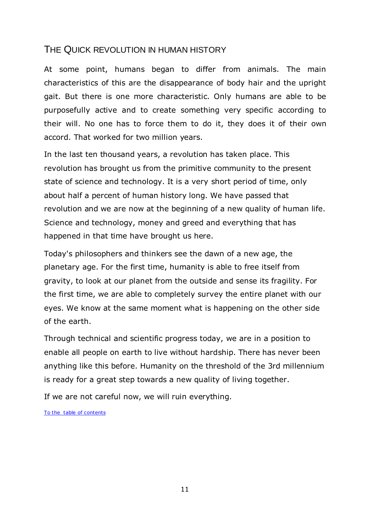### <span id="page-10-0"></span>THE QUICK REVOLUTION IN HUMAN HISTORY

At some point, humans began to differ from animals. The main characteristics of this are the disappearance of body hair and the upright gait. But there is one more characteristic. Only humans are able to be purposefully active and to create something very specific according to their will. No one has to force them to do it, they does it of their own accord. That worked for two million years.

In the last ten thousand years, a revolution has taken place. This revolution has brought us from the primitive community to the present state of science and technology. It is a very short period of time, only about half a percent of human history long. We have passed that revolution and we are now at the beginning of a new quality of human life. Science and technology, money and greed and everything that has happened in that time have brought us here.

Today's philosophers and thinkers see the dawn of a new age, the planetary age. For the first time, humanity is able to free itself from gravity, to look at our planet from the outside and sense its fragility. For the first time, we are able to completely survey the entire planet with our eyes. We know at the same moment what is happening on the other side of the earth.

Through technical and scientific progress today, we are in a position to enable all people on earth to live without hardship. There has never been anything like this before. Humanity on the threshold of the 3rd millennium is ready for a great step towards a new quality of living together.

If we are not careful now, we will ruin everything.

To [the table of contents](#page-2-0)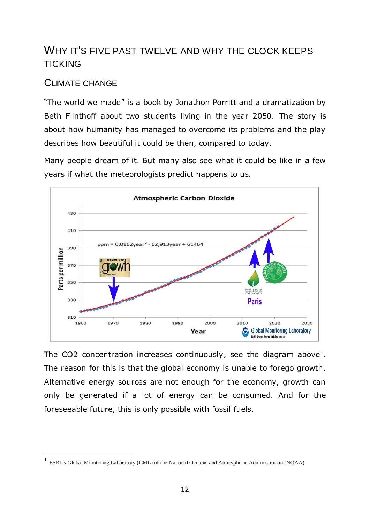# <span id="page-11-0"></span>WHY IT'S FIVE PAST TWELVE AND WHY THE CLOCK KEEPS **TICKING**

### <span id="page-11-1"></span>CLIMATE CHANGE

-

"The world we made" is a book by Jonathon Porritt and a dramatization by Beth Flinthoff about two students living in the year 2050. The story is about how humanity has managed to overcome its problems and the play describes how beautiful it could be then, compared to today.

Many people dream of it. But many also see what it could be like in a few years if what the meteorologists predict happens to us.



The CO2 concentration increases continuously, see the diagram above<sup>1</sup>. The reason for this is that the global economy is unable to forego growth. Alternative energy sources are not enough for the economy, growth can only be generated if a lot of energy can be consumed. And for the foreseeable future, this is only possible with fossil fuels.

<sup>1</sup> ESRL's Global Monitoring Laboratory (GML) of the National Oceanic and Atmospheric Administration (NOAA)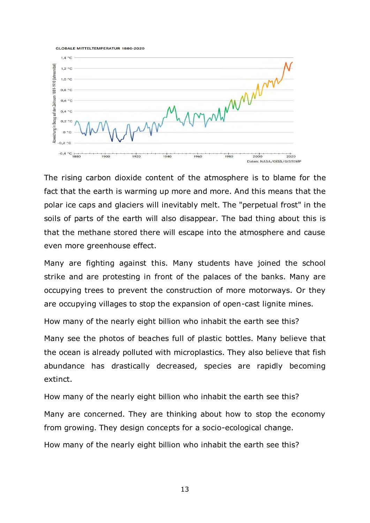



The rising carbon dioxide content of the atmosphere is to blame for the fact that the earth is warming up more and more. And this means that the polar ice caps and glaciers will inevitably melt. The "perpetual frost" in the soils of parts of the earth will also disappear. The bad thing about this is that the methane stored there will escape into the atmosphere and cause even more greenhouse effect.

Many are fighting against this. Many students have joined the school strike and are protesting in front of the palaces of the banks. Many are occupying trees to prevent the construction of more motorways. Or they are occupying villages to stop the expansion of open-cast lignite mines.

How many of the nearly eight billion who inhabit the earth see this?

Many see the photos of beaches full of plastic bottles. Many believe that the ocean is already polluted with microplastics. They also believe that fish abundance has drastically decreased, species are rapidly becoming extinct.

How many of the nearly eight billion who inhabit the earth see this? Many are concerned. They are thinking about how to stop the economy from growing. They design concepts for a socio-ecological change. How many of the nearly eight billion who inhabit the earth see this?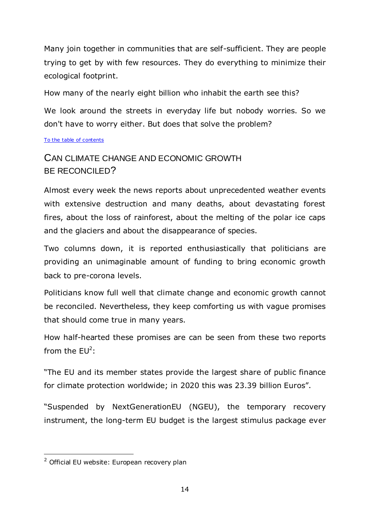Many join together in communities that are self-sufficient. They are people trying to get by with few resources. They do everything to minimize their ecological footprint.

How many of the nearly eight billion who inhabit the earth see this?

We look around the streets in everyday life but nobody worries. So we don't have to worry either. But does that solve the problem?

[To the table of contents](#page-2-0)

## <span id="page-13-0"></span>CAN CLIMATE CHANGE AND ECONOMIC GROWTH BE RECONCILED?

Almost every week the news reports about unprecedented weather events with extensive destruction and many deaths, about devastating forest fires, about the loss of rainforest, about the melting of the polar ice caps and the glaciers and about the disappearance of species.

Two columns down, it is reported enthusiastically that politicians are providing an unimaginable amount of funding to bring economic growth back to pre-corona levels.

Politicians know full well that climate change and economic growth cannot be reconciled. Nevertheless, they keep comforting us with vague promises that should come true in many years.

How half-hearted these promises are can be seen from these two reports from the  $EU^2$ :

"The EU and its member states provide the largest share of public finance for climate protection worldwide; in 2020 this was 23.39 billion Euros".

"Suspended by NextGenerationEU (NGEU), the temporary recovery instrument, the long-term EU budget is the largest stimulus package ever

-

<sup>&</sup>lt;sup>2</sup> Official EU website: European recovery plan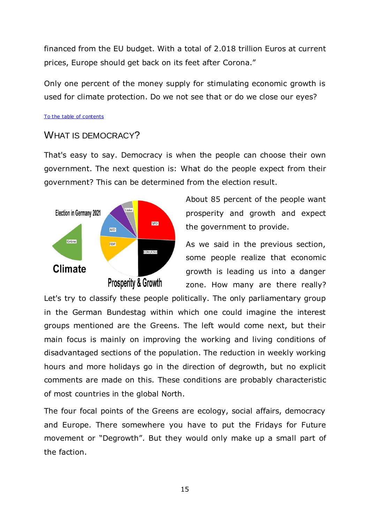financed from the EU budget. With a total of 2.018 trillion Euros at current prices, Europe should get back on its feet after Corona."

Only one percent of the money supply for stimulating economic growth is used for climate protection. Do we not see that or do we close our eyes?

#### [To the table of contents](#page-2-0)

### <span id="page-14-0"></span>WHAT IS DEMOCRACY?

That's easy to say. Democracy is when the people can choose their own government. The next question is: What do the people expect from their government? This can be determined from the election result.



About 85 percent of the people want prosperity and growth and expect the government to provide.

As we said in the previous section, some people realize that economic growth is leading us into a danger zone. How many are there really?

Let's try to classify these people politically. The only parliamentary group in the German Bundestag within which one could imagine the interest groups mentioned are the Greens. The left would come next, but their main focus is mainly on improving the working and living conditions of disadvantaged sections of the population. The reduction in weekly working hours and more holidays go in the direction of degrowth, but no explicit comments are made on this. These conditions are probably characteristic of most countries in the global North.

The four focal points of the Greens are ecology, social affairs, democracy and Europe. There somewhere you have to put the Fridays for Future movement or "Degrowth". But they would only make up a small part of the faction.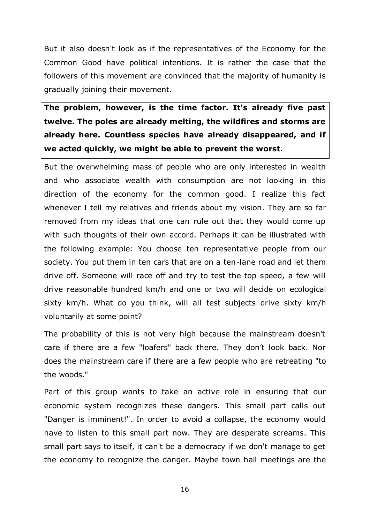But it also doesn't look as if the representatives of the Economy for the Common Good have political intentions. It is rather the case that the followers of this movement are convinced that the majority of humanity is gradually joining their movement.

**The problem, however, is the time factor. It's already five past twelve. The poles are already melting, the wildfires and storms are already here. Countless species have already disappeared, and if we acted quickly, we might be able to prevent the worst.** 

But the overwhelming mass of people who are only interested in wealth and who associate wealth with consumption are not looking in this direction of the economy for the common good. I realize this fact whenever I tell my relatives and friends about my vision. They are so far removed from my ideas that one can rule out that they would come up with such thoughts of their own accord. Perhaps it can be illustrated with the following example: You choose ten representative people from our society. You put them in ten cars that are on a ten-lane road and let them drive off. Someone will race off and try to test the top speed, a few will drive reasonable hundred km/h and one or two will decide on ecological sixty km/h. What do you think, will all test subjects drive sixty km/h voluntarily at some point?

The probability of this is not very high because the mainstream doesn't care if there are a few "loafers" back there. They don't look back. Nor does the mainstream care if there are a few people who are retreating "to the woods."

Part of this group wants to take an active role in ensuring that our economic system recognizes these dangers. This small part calls out "Danger is imminent!". In order to avoid a collapse, the economy would have to listen to this small part now. They are desperate screams. This small part says to itself, it can't be a democracy if we don't manage to get the economy to recognize the danger. Maybe town hall meetings are the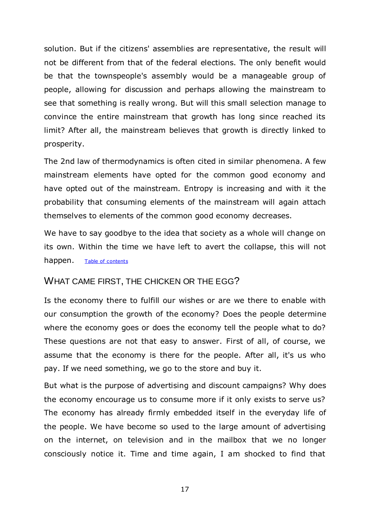solution. But if the citizens' assemblies are representative, the result will not be different from that of the federal elections. The only benefit would be that the townspeople's assembly would be a manageable group of people, allowing for discussion and perhaps allowing the mainstream to see that something is really wrong. But will this small selection manage to convince the entire mainstream that growth has long since reached its limit? After all, the mainstream believes that growth is directly linked to prosperity.

The 2nd law of thermodynamics is often cited in similar phenomena. A few mainstream elements have opted for the common good economy and have opted out of the mainstream. Entropy is increasing and with it the probability that consuming elements of the mainstream will again attach themselves to elements of the common good economy decreases.

We have to say goodbye to the idea that society as a whole will change on its own. Within the time we have left to avert the collapse, this will not happen. [Table of contents](#page-2-0)

### <span id="page-16-0"></span>WHAT CAME FIRST, THE CHICKEN OR THE EGG?

Is the economy there to fulfill our wishes or are we there to enable with our consumption the growth of the economy? Does the people determine where the economy goes or does the economy tell the people what to do? These questions are not that easy to answer. First of all, of course, we assume that the economy is there for the people. After all, it's us who pay. If we need something, we go to the store and buy it.

But what is the purpose of advertising and discount campaigns? Why does the economy encourage us to consume more if it only exists to serve us? The economy has already firmly embedded itself in the everyday life of the people. We have become so used to the large amount of advertising on the internet, on television and in the mailbox that we no longer consciously notice it. Time and time again, I am shocked to find that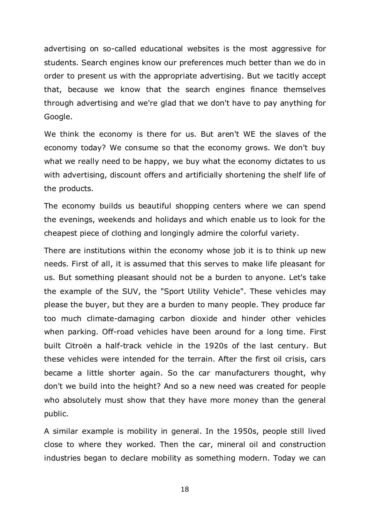advertising on so-called educational websites is the most aggressive for students. Search engines know our preferences much better than we do in order to present us with the appropriate advertising. But we tacitly accept that, because we know that the search engines finance themselves through advertising and we're glad that we don't have to pay anything for Google.

We think the economy is there for us. But aren't WE the slaves of the economy today? We consume so that the economy grows. We don't buy what we really need to be happy, we buy what the economy dictates to us with advertising, discount offers and artificially shortening the shelf life of the products.

The economy builds us beautiful shopping centers where we can spend the evenings, weekends and holidays and which enable us to look for the cheapest piece of clothing and longingly admire the colorful variety.

There are institutions within the economy whose job it is to think up new needs. First of all, it is assumed that this serves to make life pleasant for us. But something pleasant should not be a burden to anyone. Let's take the example of the SUV, the "Sport Utility Vehicle". These vehicles may please the buyer, but they are a burden to many people. They produce far too much climate-damaging carbon dioxide and hinder other vehicles when parking. Off-road vehicles have been around for a long time. First built Citroën a half-track vehicle in the 1920s of the last century. But these vehicles were intended for the terrain. After the first oil crisis, cars became a little shorter again. So the car manufacturers thought, why don't we build into the height? And so a new need was created for people who absolutely must show that they have more money than the general public.

A similar example is mobility in general. In the 1950s, people still lived close to where they worked. Then the car, mineral oil and construction industries began to declare mobility as something modern. Today we can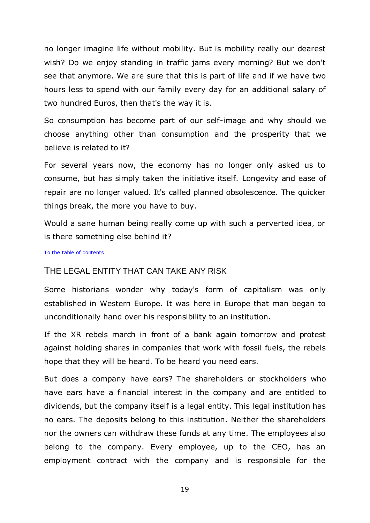no longer imagine life without mobility. But is mobility really our dearest wish? Do we enjoy standing in traffic jams every morning? But we don't see that anymore. We are sure that this is part of life and if we have two hours less to spend with our family every day for an additional salary of two hundred Euros, then that's the way it is.

So consumption has become part of our self-image and why should we choose anything other than consumption and the prosperity that we believe is related to it?

For several years now, the economy has no longer only asked us to consume, but has simply taken the initiative itself. Longevity and ease of repair are no longer valued. It's called planned obsolescence. The quicker things break, the more you have to buy.

Would a sane human being really come up with such a perverted idea, or is there something else behind it?

#### [To the table of contents](#page-2-0)

#### <span id="page-18-0"></span>THE LEGAL ENTITY THAT CAN TAKE ANY RISK

Some historians wonder why today's form of capitalism was only established in Western Europe. It was here in Europe that man began to unconditionally hand over his responsibility to an institution.

If the XR rebels march in front of a bank again tomorrow and protest against holding shares in companies that work with fossil fuels, the rebels hope that they will be heard. To be heard you need ears.

But does a company have ears? The shareholders or stockholders who have ears have a financial interest in the company and are entitled to dividends, but the company itself is a legal entity. This legal institution has no ears. The deposits belong to this institution. Neither the shareholders nor the owners can withdraw these funds at any time. The employees also belong to the company. Every employee, up to the CEO, has an employment contract with the company and is responsible for the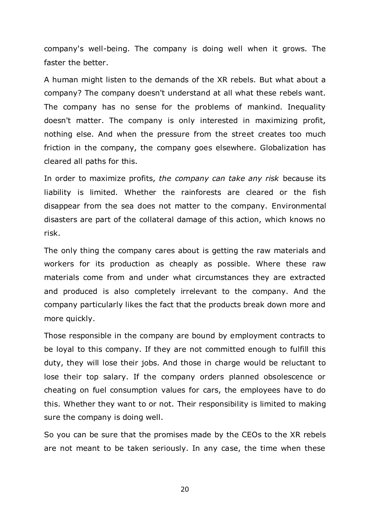company's well-being. The company is doing well when it grows. The faster the better.

A human might listen to the demands of the XR rebels. But what about a company? The company doesn't understand at all what these rebels want. The company has no sense for the problems of mankind. Inequality doesn't matter. The company is only interested in maximizing profit, nothing else. And when the pressure from the street creates too much friction in the company, the company goes elsewhere. Globalization has cleared all paths for this.

In order to maximize profits, *the company can take any risk* because its liability is limited. Whether the rainforests are cleared or the fish disappear from the sea does not matter to the company. Environmental disasters are part of the collateral damage of this action, which knows no risk.

The only thing the company cares about is getting the raw materials and workers for its production as cheaply as possible. Where these raw materials come from and under what circumstances they are extracted and produced is also completely irrelevant to the company. And the company particularly likes the fact that the products break down more and more quickly.

Those responsible in the company are bound by employment contracts to be loyal to this company. If they are not committed enough to fulfill this duty, they will lose their jobs. And those in charge would be reluctant to lose their top salary. If the company orders planned obsolescence or cheating on fuel consumption values for cars, the employees have to do this. Whether they want to or not. Their responsibility is limited to making sure the company is doing well.

So you can be sure that the promises made by the CEOs to the XR rebels are not meant to be taken seriously. In any case, the time when these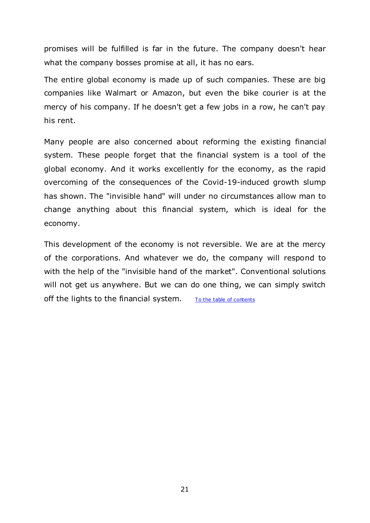promises will be fulfilled is far in the future. The company doesn't hear what the company bosses promise at all, it has no ears.

The entire global economy is made up of such companies. These are big companies like Walmart or Amazon, but even the bike courier is at the mercy of his company. If he doesn't get a few jobs in a row, he can't pay his rent.

Many people are also concerned about reforming the existing financial system. These people forget that the financial system is a tool of the global economy. And it works excellently for the economy, as the rapid overcoming of the consequences of the Covid-19-induced growth slump has shown. The "invisible hand" will under no circumstances allow man to change anything about this financial system, which is ideal for the economy.

This development of the economy is not reversible. We are at the mercy of the corporations. And whatever we do, the company will respond to with the help of the "invisible hand of the market". Conventional solutions will not get us anywhere. But we can do one thing, we can simply switch off the lights to the financial system. [To the table of contents](#page-2-0)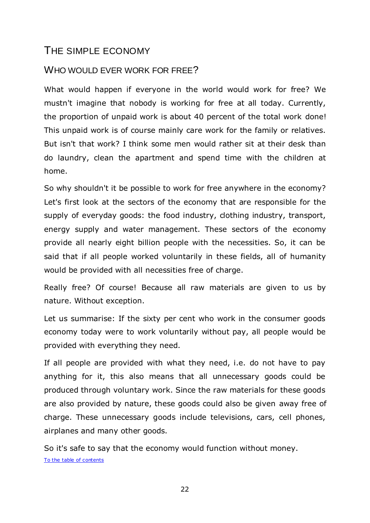# <span id="page-21-0"></span>THE SIMPLE ECONOMY

### <span id="page-21-1"></span>WHO WOULD EVER WORK FOR FREE?

What would happen if everyone in the world would work for free? We mustn't imagine that nobody is working for free at all today. Currently, the proportion of unpaid work is about 40 percent of the total work done! This unpaid work is of course mainly care work for the family or relatives. But isn't that work? I think some men would rather sit at their desk than do laundry, clean the apartment and spend time with the children at home.

So why shouldn't it be possible to work for free anywhere in the economy? Let's first look at the sectors of the economy that are responsible for the supply of everyday goods: the food industry, clothing industry, transport, energy supply and water management. These sectors of the economy provide all nearly eight billion people with the necessities. So, it can be said that if all people worked voluntarily in these fields, all of humanity would be provided with all necessities free of charge.

Really free? Of course! Because all raw materials are given to us by nature. Without exception.

Let us summarise: If the sixty per cent who work in the consumer goods economy today were to work voluntarily without pay, all people would be provided with everything they need.

If all people are provided with what they need, i.e. do not have to pay anything for it, this also means that all unnecessary goods could be produced through voluntary work. Since the raw materials for these goods are also provided by nature, these goods could also be given away free of charge. These unnecessary goods include televisions, cars, cell phones, airplanes and many other goods.

So it's safe to say that the economy would function without money. [To the table of contents](#page-2-0)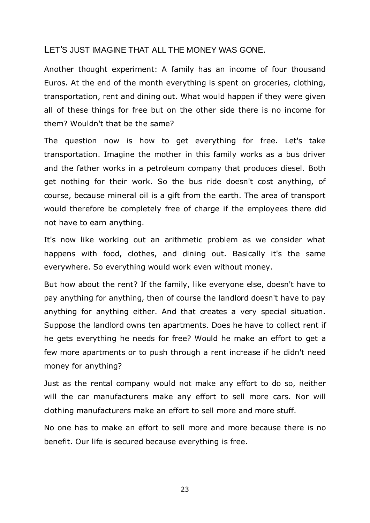### <span id="page-22-0"></span>LET'S JUST IMAGINE THAT ALL THE MONEY WAS GONE.

Another thought experiment: A family has an income of four thousand Euros. At the end of the month everything is spent on groceries, clothing, transportation, rent and dining out. What would happen if they were given all of these things for free but on the other side there is no income for them? Wouldn't that be the same?

The question now is how to get everything for free. Let's take transportation. Imagine the mother in this family works as a bus driver and the father works in a petroleum company that produces diesel. Both get nothing for their work. So the bus ride doesn't cost anything, of course, because mineral oil is a gift from the earth. The area of transport would therefore be completely free of charge if the employees there did not have to earn anything.

It's now like working out an arithmetic problem as we consider what happens with food, clothes, and dining out. Basically it's the same everywhere. So everything would work even without money.

But how about the rent? If the family, like everyone else, doesn't have to pay anything for anything, then of course the landlord doesn't have to pay anything for anything either. And that creates a very special situation. Suppose the landlord owns ten apartments. Does he have to collect rent if he gets everything he needs for free? Would he make an effort to get a few more apartments or to push through a rent increase if he didn't need money for anything?

Just as the rental company would not make any effort to do so, neither will the car manufacturers make any effort to sell more cars. Nor will clothing manufacturers make an effort to sell more and more stuff.

No one has to make an effort to sell more and more because there is no benefit. Our life is secured because everything is free.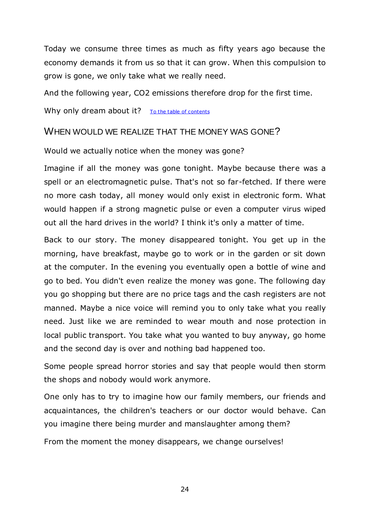Today we consume three times as much as fifty years ago because the economy demands it from us so that it can grow. When this compulsion to grow is gone, we only take what we really need.

And the following year, CO2 emissions therefore drop for the first time.

Why only dream about it? [To the table of contents](#page-2-0)

### <span id="page-23-0"></span>WHEN WOULD WE REALIZE THAT THE MONEY WAS GONE?

Would we actually notice when the money was gone?

Imagine if all the money was gone tonight. Maybe because there was a spell or an electromagnetic pulse. That's not so far-fetched. If there were no more cash today, all money would only exist in electronic form. What would happen if a strong magnetic pulse or even a computer virus wiped out all the hard drives in the world? I think it's only a matter of time.

Back to our story. The money disappeared tonight. You get up in the morning, have breakfast, maybe go to work or in the garden or sit down at the computer. In the evening you eventually open a bottle of wine and go to bed. You didn't even realize the money was gone. The following day you go shopping but there are no price tags and the cash registers are not manned. Maybe a nice voice will remind you to only take what you really need. Just like we are reminded to wear mouth and nose protection in local public transport. You take what you wanted to buy anyway, go home and the second day is over and nothing bad happened too.

Some people spread horror stories and say that people would then storm the shops and nobody would work anymore.

One only has to try to imagine how our family members, our friends and acquaintances, the children's teachers or our doctor would behave. Can you imagine there being murder and manslaughter among them?

From the moment the money disappears, we change ourselves!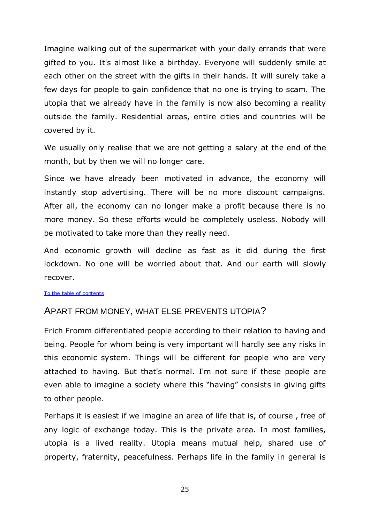Imagine walking out of the supermarket with your daily errands that were gifted to you. It's almost like a birthday. Everyone will suddenly smile at each other on the street with the gifts in their hands. It will surely take a few days for people to gain confidence that no one is trying to scam. The utopia that we already have in the family is now also becoming a reality outside the family. Residential areas, entire cities and countries will be covered by it.

We usually only realise that we are not getting a salary at the end of the month, but by then we will no longer care.

Since we have already been motivated in advance, the economy will instantly stop advertising. There will be no more discount campaigns. After all, the economy can no longer make a profit because there is no more money. So these efforts would be completely useless. Nobody will be motivated to take more than they really need.

And economic growth will decline as fast as it did during the first lockdown. No one will be worried about that. And our earth will slowly recover.

#### [To the table of contents](#page-2-0)

### <span id="page-24-0"></span>APART FROM MONEY, WHAT ELSE PREVENTS UTOPIA?

Erich Fromm differentiated people according to their relation to having and being. People for whom being is very important will hardly see any risks in this economic system. Things will be different for people who are very attached to having. But that's normal. I'm not sure if these people are even able to imagine a society where this "having" consists in giving gifts to other people.

Perhaps it is easiest if we imagine an area of life that is, of course , free of any logic of exchange today. This is the private area. In most families, utopia is a lived reality. Utopia means mutual help, shared use of property, fraternity, peacefulness. Perhaps life in the family in general is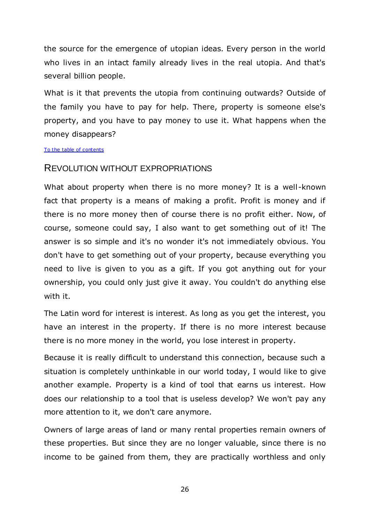the source for the emergence of utopian ideas. Every person in the world who lives in an intact family already lives in the real utopia. And that's several billion people.

What is it that prevents the utopia from continuing outwards? Outside of the family you have to pay for help. There, property is someone else's property, and you have to pay money to use it. What happens when the money disappears?

To [the table of contents](#page-2-0)

### <span id="page-25-0"></span>REVOLUTION WITHOUT EXPROPRIATIONS

What about property when there is no more money? It is a well-known fact that property is a means of making a profit. Profit is money and if there is no more money then of course there is no profit either. Now, of course, someone could say, I also want to get something out of it! The answer is so simple and it's no wonder it's not immediately obvious. You don't have to get something out of your property, because everything you need to live is given to you as a gift. If you got anything out for your ownership, you could only just give it away. You couldn't do anything else with it.

The Latin word for interest is interest. As long as you get the interest, you have an interest in the property. If there is no more interest because there is no more money in the world, you lose interest in property.

Because it is really difficult to understand this connection, because such a situation is completely unthinkable in our world today, I would like to give another example. Property is a kind of tool that earns us interest. How does our relationship to a tool that is useless develop? We won't pay any more attention to it, we don't care anymore.

Owners of large areas of land or many rental properties remain owners of these properties. But since they are no longer valuable, since there is no income to be gained from them, they are practically worthless and only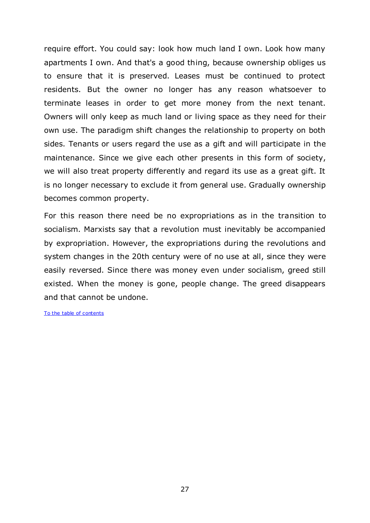require effort. You could say: look how much land I own. Look how many apartments I own. And that's a good thing, because ownership obliges us to ensure that it is preserved. Leases must be continued to protect residents. But the owner no longer has any reason whatsoever to terminate leases in order to get more money from the next tenant. Owners will only keep as much land or living space as they need for their own use. The paradigm shift changes the relationship to property on both sides. Tenants or users regard the use as a gift and will participate in the maintenance. Since we give each other presents in this form of society, we will also treat property differently and regard its use as a great gift. It is no longer necessary to exclude it from general use. Gradually ownership becomes common property.

For this reason there need be no expropriations as in the transition to socialism. Marxists say that a revolution must inevitably be accompanied by expropriation. However, the expropriations during the revolutions and system changes in the 20th century were of no use at all, since they were easily reversed. Since there was money even under socialism, greed still existed. When the money is gone, people change. The greed disappears and that cannot be undone.

[To the table of contents](#page-2-0)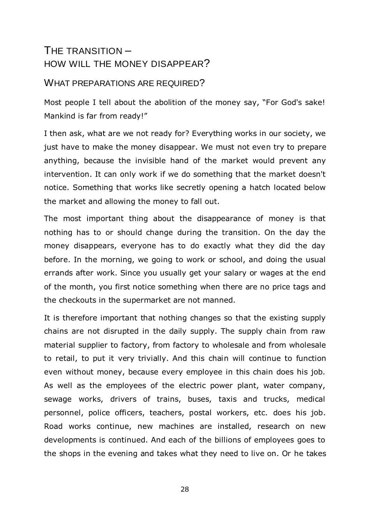# <span id="page-27-0"></span>THE TRANSITION – HOW WILL THE MONEY DISAPPEAR?

### <span id="page-27-1"></span>WHAT PREPARATIONS ARE REQUIRED?

Most people I tell about the abolition of the money say, "For God's sake! Mankind is far from ready!"

I then ask, what are we not ready for? Everything works in our society, we just have to make the money disappear. We must not even try to prepare anything, because the invisible hand of the market would prevent any intervention. It can only work if we do something that the market doesn't notice. Something that works like secretly opening a hatch located below the market and allowing the money to fall out.

The most important thing about the disappearance of money is that nothing has to or should change during the transition. On the day the money disappears, everyone has to do exactly what they did the day before. In the morning, we going to work or school, and doing the usual errands after work. Since you usually get your salary or wages at the end of the month, you first notice something when there are no price tags and the checkouts in the supermarket are not manned.

It is therefore important that nothing changes so that the existing supply chains are not disrupted in the daily supply. The supply chain from raw material supplier to factory, from factory to wholesale and from wholesale to retail, to put it very trivially. And this chain will continue to function even without money, because every employee in this chain does his job. As well as the employees of the electric power plant, water company, sewage works, drivers of trains, buses, taxis and trucks, medical personnel, police officers, teachers, postal workers, etc. does his job. Road works continue, new machines are installed, research on new developments is continued. And each of the billions of employees goes to the shops in the evening and takes what they need to live on. Or he takes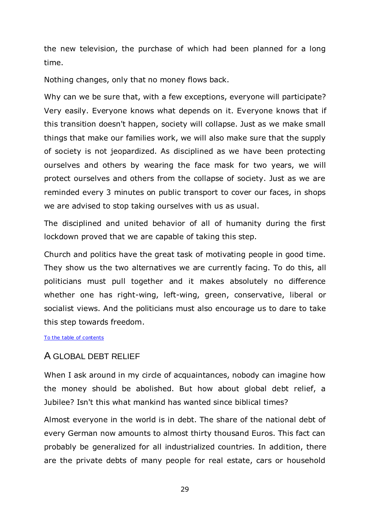the new television, the purchase of which had been planned for a long time.

Nothing changes, only that no money flows back.

Why can we be sure that, with a few exceptions, everyone will participate? Very easily. Everyone knows what depends on it. Everyone knows that if this transition doesn't happen, society will collapse. Just as we make small things that make our families work, we will also make sure that the supply of society is not jeopardized. As disciplined as we have been protecting ourselves and others by wearing the face mask for two years, we will protect ourselves and others from the collapse of society. Just as we are reminded every 3 minutes on public transport to cover our faces, in shops we are advised to stop taking ourselves with us as usual.

The disciplined and united behavior of all of humanity during the first lockdown proved that we are capable of taking this step.

Church and politics have the great task of motivating people in good time. They show us the two alternatives we are currently facing. To do this, all politicians must pull together and it makes absolutely no difference whether one has right-wing, left-wing, green, conservative, liberal or socialist views. And the politicians must also encourage us to dare to take this step towards freedom.

[To the table of contents](#page-2-0)

### <span id="page-28-0"></span>A GLOBAL DEBT RELIEF

When I ask around in my circle of acquaintances, nobody can imagine how the money should be abolished. But how about global debt relief, a Jubilee? Isn't this what mankind has wanted since biblical times?

Almost everyone in the world is in debt. The share of the national debt of every German now amounts to almost thirty thousand Euros. This fact can probably be generalized for all industrialized countries. In addition, there are the private debts of many people for real estate, cars or household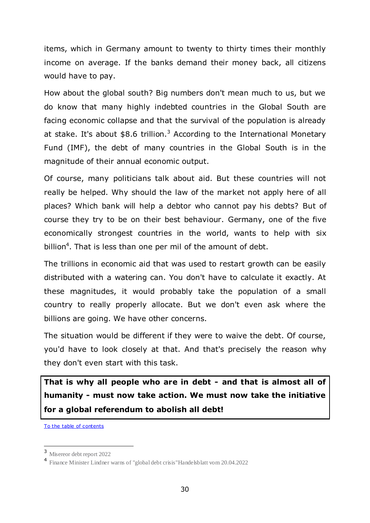items, which in Germany amount to twenty to thirty times their monthly income on average. If the banks demand their money back, all citizens would have to pay.

How about the global south? Big numbers don't mean much to us, but we do know that many highly indebted countries in the Global South are facing economic collapse and that the survival of the population is already at stake. It's about  $$8.6$  trillion.<sup>3</sup> According to the International Monetary Fund (IMF), the debt of many countries in the Global South is in the magnitude of their annual economic output.

Of course, many politicians talk about aid. But these countries will not really be helped. Why should the law of the market not apply here of all places? Which bank will help a debtor who cannot pay his debts? But of course they try to be on their best behaviour. Germany, one of the five economically strongest countries in the world, wants to help with six billion<sup>4</sup>. That is less than one per mil of the amount of debt.

The trillions in economic aid that was used to restart growth can be easily distributed with a watering can. You don't have to calculate it exactly. At these magnitudes, it would probably take the population of a small country to really properly allocate. But we don't even ask where the billions are going. We have other concerns.

The situation would be different if they were to waive the debt. Of course, you'd have to look closely at that. And that's precisely the reason why they don't even start with this task.

**That is why all people who are in debt - and that is almost all of humanity - must now take action. We must now take the initiative for a global referendum to abolish all debt!**

[To the table of contents](#page-2-0)

-

<sup>3</sup> Misereor debt report 2022

<sup>4</sup> Finance Minister Lindner warns of "global debt crisis"Handelsblatt vom 20.04.2022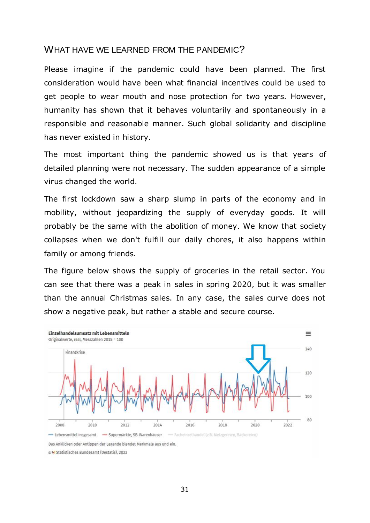### <span id="page-30-0"></span>WHAT HAVE WE LEARNED FROM THE PANDEMIC?

Please imagine if the pandemic could have been planned. The first consideration would have been what financial incentives could be used to get people to wear mouth and nose protection for two years. However, humanity has shown that it behaves voluntarily and spontaneously in a responsible and reasonable manner. Such global solidarity and discipline has never existed in history.

The most important thing the pandemic showed us is that years of detailed planning were not necessary. The sudden appearance of a simple virus changed the world.

The first lockdown saw a sharp slump in parts of the economy and in mobility, without jeopardizing the supply of everyday goods. It will probably be the same with the abolition of money. We know that society collapses when we don't fulfill our daily chores, it also happens within family or among friends.

The figure below shows the supply of groceries in the retail sector. You can see that there was a peak in sales in spring 2020, but it was smaller than the annual Christmas sales. In any case, the sales curve does not show a negative peak, but rather a stable and secure course.



Das Anklicken oder Antippen der Legende blendet Merkmale aus und ein.

DN Statistisches Bundesamt (Destatis), 2022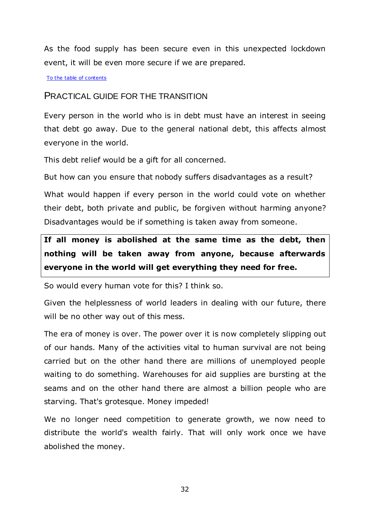As the food supply has been secure even in this unexpected lockdown event, it will be even more secure if we are prepared.

[To the table of contents](#page-2-0) 

### <span id="page-31-0"></span>PRACTICAL GUIDE FOR THE TRANSITION

Every person in the world who is in debt must have an interest in seeing that debt go away. Due to the general national debt, this affects almost everyone in the world.

This debt relief would be a gift for all concerned.

But how can you ensure that nobody suffers disadvantages as a result?

What would happen if every person in the world could vote on whether their debt, both private and public, be forgiven without harming anyone? Disadvantages would be if something is taken away from someone.

**If all money is abolished at the same time as the debt, then nothing will be taken away from anyone, because afterwards everyone in the world will get everything they need for free.**

So would every human vote for this? I think so.

Given the helplessness of world leaders in dealing with our future, there will be no other way out of this mess.

The era of money is over. The power over it is now completely slipping out of our hands. Many of the activities vital to human survival are not being carried but on the other hand there are millions of unemployed people waiting to do something. Warehouses for aid supplies are bursting at the seams and on the other hand there are almost a billion people who are starving. That's grotesque. Money impeded!

We no longer need competition to generate growth, we now need to distribute the world's wealth fairly. That will only work once we have abolished the money.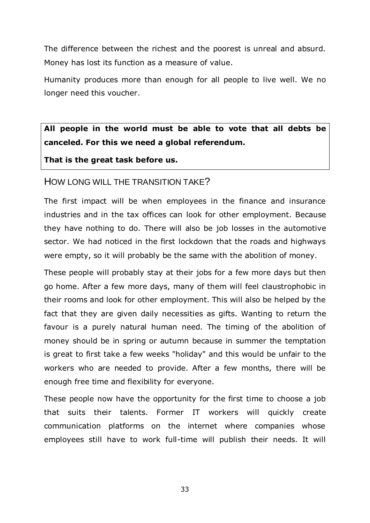The difference between the richest and the poorest is unreal and absurd. Money has lost its function as a measure of value.

Humanity produces more than enough for all people to live well. We no longer need this voucher.

**All people in the world must be able to vote that all debts be canceled. For this we need a global referendum.** 

#### **That is the great task before us.**

#### <span id="page-32-0"></span>HOW LONG WILL THE TRANSITION TAKE?

The first impact will be when employees in the finance and insurance industries and in the tax offices can look for other employment. Because they have nothing to do. There will also be job losses in the automotive sector. We had noticed in the first lockdown that the roads and highways were empty, so it will probably be the same with the abolition of money.

These people will probably stay at their jobs for a few more days but then go home. After a few more days, many of them will feel claustrophobic in their rooms and look for other employment. This will also be helped by the fact that they are given daily necessities as gifts. Wanting to return the favour is a purely natural human need. The timing of the abolition of money should be in spring or autumn because in summer the temptation is great to first take a few weeks "holiday" and this would be unfair to the workers who are needed to provide. After a few months, there will be enough free time and flexibility for everyone.

These people now have the opportunity for the first time to choose a job that suits their talents. Former IT workers will quickly create communication platforms on the internet where companies whose employees still have to work full-time will publish their needs. It will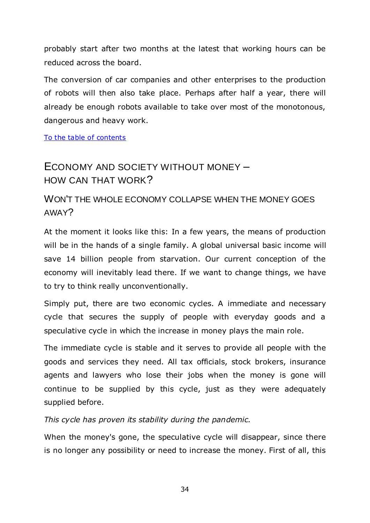probably start after two months at the latest that working hours can be reduced across the board.

The conversion of car companies and other enterprises to the production of robots will then also take place. Perhaps after half a year, there will already be enough robots available to take over most of the monotonous, dangerous and heavy work.

[To the table of contents](#page-2-0)

# <span id="page-33-0"></span>ECONOMY AND SOCIETY WITHOUT MONEY – HOW CAN THAT WORK?

# <span id="page-33-1"></span>WON'T THE WHOLE ECONOMY COLLAPSE WHEN THE MONEY GOES AWAY?

At the moment it looks like this: In a few years, the means of production will be in the hands of a single family. A global universal basic income will save 14 billion people from starvation. Our current conception of the economy will inevitably lead there. If we want to change things, we have to try to think really unconventionally.

Simply put, there are two economic cycles. A immediate and necessary cycle that secures the supply of people with everyday goods and a speculative cycle in which the increase in money plays the main role.

The immediate cycle is stable and it serves to provide all people with the goods and services they need. All tax officials, stock brokers, insurance agents and lawyers who lose their jobs when the money is gone will continue to be supplied by this cycle, just as they were adequately supplied before.

*This cycle has proven its stability during the pandemic.*

When the money's gone, the speculative cycle will disappear, since there is no longer any possibility or need to increase the money. First of all, this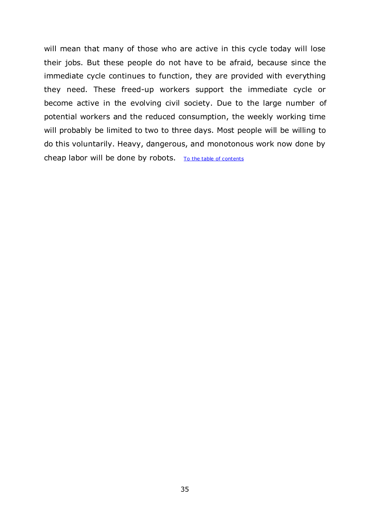will mean that many of those who are active in this cycle today will lose their jobs. But these people do not have to be afraid, because since the immediate cycle continues to function, they are provided with everything they need. These freed-up workers support the immediate cycle or become active in the evolving civil society. Due to the large number of potential workers and the reduced consumption, the weekly working time will probably be limited to two to three days. Most people will be willing to do this voluntarily. Heavy, dangerous, and monotonous work now done by cheap labor will be done by robots. [To the table of contents](#page-2-0)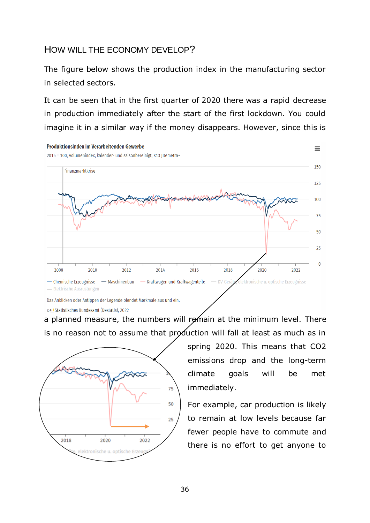### <span id="page-35-0"></span>HOW WILL THE ECONOMY DEVELOP?

The figure below shows the production index in the manufacturing sector in selected sectors.

It can be seen that in the first quarter of 2020 there was a rapid decrease in production immediately after the start of the first lockdown. You could imagine it in a similar way if the money disappears. However, since this is



© LI Statistisches Bundesamt (Destatis), 2022

a planned measure, the numbers will remain at the minimum level. There is no reason not to assume that production will fall at least as much as in



spring 2020. This means that CO2 emissions drop and the long-term climate goals will be met immediately.

For example, car production is likely to remain at low levels because far fewer people have to commute and there is no effort to get anyone to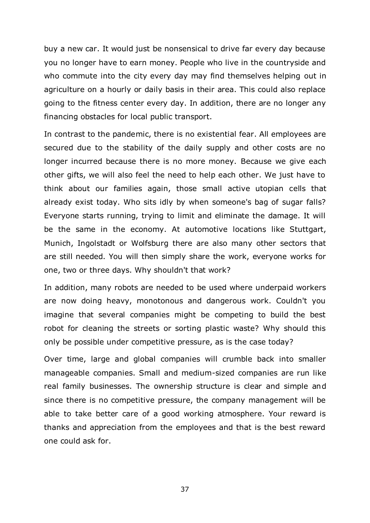buy a new car. It would just be nonsensical to drive far every day because you no longer have to earn money. People who live in the countryside and who commute into the city every day may find themselves helping out in agriculture on a hourly or daily basis in their area. This could also replace going to the fitness center every day. In addition, there are no longer any financing obstacles for local public transport.

In contrast to the pandemic, there is no existential fear. All employees are secured due to the stability of the daily supply and other costs are no longer incurred because there is no more money. Because we give each other gifts, we will also feel the need to help each other. We just have to think about our families again, those small active utopian cells that already exist today. Who sits idly by when someone's bag of sugar falls? Everyone starts running, trying to limit and eliminate the damage. It will be the same in the economy. At automotive locations like Stuttgart, Munich, Ingolstadt or Wolfsburg there are also many other sectors that are still needed. You will then simply share the work, everyone works for one, two or three days. Why shouldn't that work?

In addition, many robots are needed to be used where underpaid workers are now doing heavy, monotonous and dangerous work. Couldn't you imagine that several companies might be competing to build the best robot for cleaning the streets or sorting plastic waste? Why should this only be possible under competitive pressure, as is the case today?

Over time, large and global companies will crumble back into smaller manageable companies. Small and medium-sized companies are run like real family businesses. The ownership structure is clear and simple and since there is no competitive pressure, the company management will be able to take better care of a good working atmosphere. Your reward is thanks and appreciation from the employees and that is the best reward one could ask for.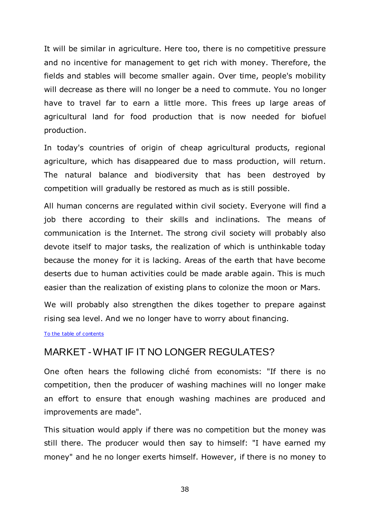It will be similar in agriculture. Here too, there is no competitive pressure and no incentive for management to get rich with money. Therefore, the fields and stables will become smaller again. Over time, people's mobility will decrease as there will no longer be a need to commute. You no longer have to travel far to earn a little more. This frees up large areas of agricultural land for food production that is now needed for biofuel production.

In today's countries of origin of cheap agricultural products, regional agriculture, which has disappeared due to mass production, will return. The natural balance and biodiversity that has been destroyed by competition will gradually be restored as much as is still possible.

All human concerns are regulated within civil society. Everyone will find a job there according to their skills and inclinations. The means of communication is the Internet. The strong civil society will probably also devote itself to major tasks, the realization of which is unthinkable today because the money for it is lacking. Areas of the earth that have become deserts due to human activities could be made arable again. This is much easier than the realization of existing plans to colonize the moon or Mars.

We will probably also strengthen the dikes together to prepare against rising sea level. And we no longer have to worry about financing.

[To the table of contents](#page-2-0)

### <span id="page-37-0"></span>MARKET -WHAT IF IT NO LONGER REGULATES?

One often hears the following cliché from economists: "If there is no competition, then the producer of washing machines will no longer make an effort to ensure that enough washing machines are produced and improvements are made".

This situation would apply if there was no competition but the money was still there. The producer would then say to himself: "I have earned my money" and he no longer exerts himself. However, if there is no money to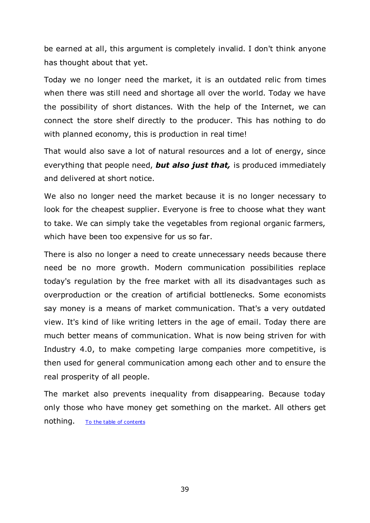be earned at all, this argument is completely invalid. I don't think anyone has thought about that yet.

Today we no longer need the market, it is an outdated relic from times when there was still need and shortage all over the world. Today we have the possibility of short distances. With the help of the Internet, we can connect the store shelf directly to the producer. This has nothing to do with planned economy, this is production in real time!

That would also save a lot of natural resources and a lot of energy, since everything that people need, *but also just that,* is produced immediately and delivered at short notice.

We also no longer need the market because it is no longer necessary to look for the cheapest supplier. Everyone is free to choose what they want to take. We can simply take the vegetables from regional organic farmers, which have been too expensive for us so far.

There is also no longer a need to create unnecessary needs because there need be no more growth. Modern communication possibilities replace today's regulation by the free market with all its disadvantages such as overproduction or the creation of artificial bottlenecks. Some economists say money is a means of market communication. That's a very outdated view. It's kind of like writing letters in the age of email. Today there are much better means of communication. What is now being striven for with Industry 4.0, to make competing large companies more competitive, is then used for general communication among each other and to ensure the real prosperity of all people.

The market also prevents inequality from disappearing. Because today only those who have money get something on the market. All others get nothing. [To the table of contents](#page-2-0)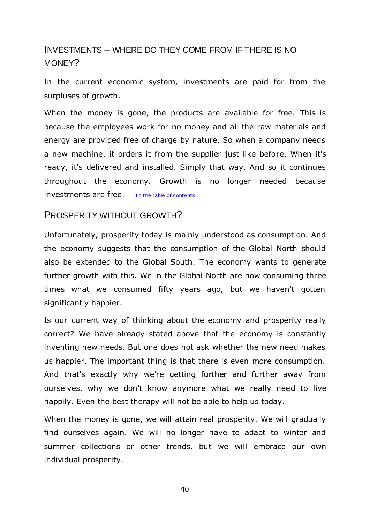### <span id="page-39-0"></span>INVESTMENTS – WHERE DO THEY COME FROM IF THERE IS NO MONEY?

In the current economic system, investments are paid for from the surpluses of growth.

When the money is gone, the products are available for free. This is because the employees work for no money and all the raw materials and energy are provided free of charge by nature. So when a company needs a new machine, it orders it from the supplier just like before. When it's ready, it's delivered and installed. Simply that way. And so it continues throughout the economy. Growth is no longer needed because investments are free. [To the table of contents](#page-2-0)

### <span id="page-39-1"></span>PROSPERITY WITHOUT GROWTH?

Unfortunately, prosperity today is mainly understood as consumption. And the economy suggests that the consumption of the Global North should also be extended to the Global South. The economy wants to generate further growth with this. We in the Global North are now consuming three times what we consumed fifty years ago, but we haven't gotten significantly happier.

Is our current way of thinking about the economy and prosperity really correct? We have already stated above that the economy is constantly inventing new needs. But one does not ask whether the new need makes us happier. The important thing is that there is even more consumption. And that's exactly why we're getting further and further away from ourselves, why we don't know anymore what we really need to live happily. Even the best therapy will not be able to help us today.

When the money is gone, we will attain real prosperity. We will gradually find ourselves again. We will no longer have to adapt to winter and summer collections or other trends, but we will embrace our own individual prosperity.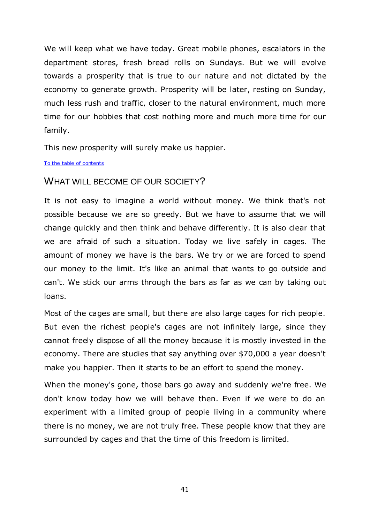We will keep what we have today. Great mobile phones, escalators in the department stores, fresh bread rolls on Sundays. But we will evolve towards a prosperity that is true to our nature and not dictated by the economy to generate growth. Prosperity will be later, resting on Sunday, much less rush and traffic, closer to the natural environment, much more time for our hobbies that cost nothing more and much more time for our family.

This new prosperity will surely make us happier.

#### [To the table of contents](#page-2-0)

### <span id="page-40-0"></span>WHAT WILL BECOME OF OUR SOCIETY?

It is not easy to imagine a world without money. We think that's not possible because we are so greedy. But we have to assume that we will change quickly and then think and behave differently. It is also clear that we are afraid of such a situation. Today we live safely in cages. The amount of money we have is the bars. We try or we are forced to spend our money to the limit. It's like an animal that wants to go outside and can't. We stick our arms through the bars as far as we can by taking out loans.

Most of the cages are small, but there are also large cages for rich people. But even the richest people's cages are not infinitely large, since they cannot freely dispose of all the money because it is mostly invested in the economy. There are studies that say anything over \$70,000 a year doesn't make you happier. Then it starts to be an effort to spend the money.

When the money's gone, those bars go away and suddenly we're free. We don't know today how we will behave then. Even if we were to do an experiment with a limited group of people living in a community where there is no money, we are not truly free. These people know that they are surrounded by cages and that the time of this freedom is limited.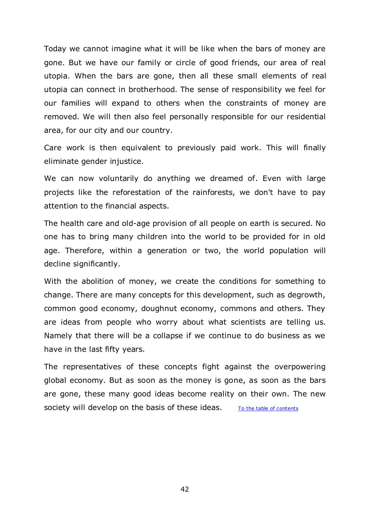Today we cannot imagine what it will be like when the bars of money are gone. But we have our family or circle of good friends, our area of real utopia. When the bars are gone, then all these small elements of real utopia can connect in brotherhood. The sense of responsibility we feel for our families will expand to others when the constraints of money are removed. We will then also feel personally responsible for our residential area, for our city and our country.

Care work is then equivalent to previously paid work. This will finally eliminate gender injustice.

We can now voluntarily do anything we dreamed of. Even with large projects like the reforestation of the rainforests, we don't have to pay attention to the financial aspects.

The health care and old-age provision of all people on earth is secured. No one has to bring many children into the world to be provided for in old age. Therefore, within a generation or two, the world population will decline significantly.

With the abolition of money, we create the conditions for something to change. There are many concepts for this development, such as degrowth, common good economy, doughnut economy, commons and others. They are ideas from people who worry about what scientists are telling us. Namely that there will be a collapse if we continue to do business as we have in the last fifty years.

The representatives of these concepts fight against the overpowering global economy. But as soon as the money is gone, as soon as the bars are gone, these many good ideas become reality on their own. The new society will develop on the basis of these ideas. [To the table of contents](#page-2-0)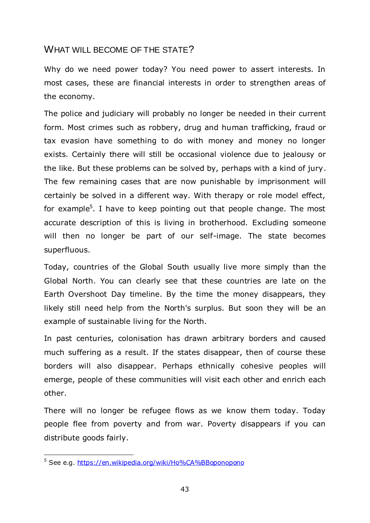### <span id="page-42-0"></span>WHAT WILL BECOME OF THE STATE?

Why do we need power today? You need power to assert interests. In most cases, these are financial interests in order to strengthen areas of the economy.

The police and judiciary will probably no longer be needed in their current form. Most crimes such as robbery, drug and human trafficking, fraud or tax evasion have something to do with money and money no longer exists. Certainly there will still be occasional violence due to jealousy or the like. But these problems can be solved by, perhaps with a kind of jury. The few remaining cases that are now punishable by imprisonment will certainly be solved in a different way. With therapy or role model effect, for example<sup>5</sup>. I have to keep pointing out that people change. The most accurate description of this is living in brotherhood. Excluding someone will then no longer be part of our self-image. The state becomes superfluous.

Today, countries of the Global South usually live more simply than the Global North. You can clearly see that these countries are late on the Earth Overshoot Day timeline. By the time the money disappears, they likely still need help from the North's surplus. But soon they will be an example of sustainable living for the North.

In past centuries, colonisation has drawn arbitrary borders and caused much suffering as a result. If the states disappear, then of course these borders will also disappear. Perhaps ethnically cohesive peoples will emerge, people of these communities will visit each other and enrich each other.

There will no longer be refugee flows as we know them today. Today people flee from poverty and from war. Poverty disappears if you can distribute goods fairly.

-

<sup>&</sup>lt;sup>5</sup> See e.g.<https://en.wikipedia.org/wiki/Ho%CA%BBoponopono>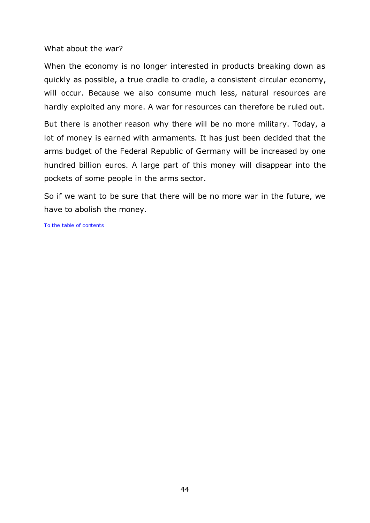#### What about the war?

When the economy is no longer interested in products breaking down as quickly as possible, a true cradle to cradle, a consistent circular economy, will occur. Because we also consume much less, natural resources are hardly exploited any more. A war for resources can therefore be ruled out.

But there is another reason why there will be no more military. Today, a lot of money is earned with armaments. It has just been decided that the arms budget of the Federal Republic of Germany will be increased by one hundred billion euros. A large part of this money will disappear into the pockets of some people in the arms sector.

So if we want to be sure that there will be no more war in the future, we have to abolish the money.

[To the table of contents](#page-2-0)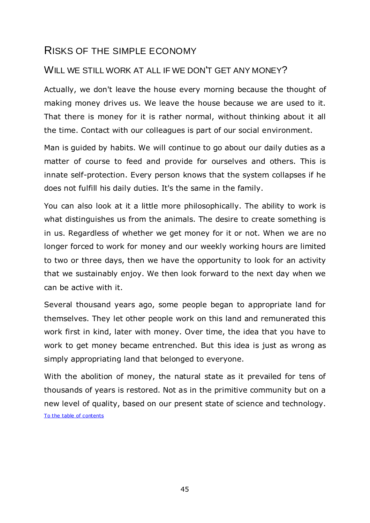### <span id="page-44-0"></span>RISKS OF THE SIMPLE ECONOMY

### <span id="page-44-1"></span>WILL WE STILL WORK AT ALL IF WE DON'T GET ANY MONEY?

Actually, we don't leave the house every morning because the thought of making money drives us. We leave the house because we are used to it. That there is money for it is rather normal, without thinking about it all the time. Contact with our colleagues is part of our social environment.

Man is guided by habits. We will continue to go about our daily duties as a matter of course to feed and provide for ourselves and others. This is innate self-protection. Every person knows that the system collapses if he does not fulfill his daily duties. It's the same in the family.

You can also look at it a little more philosophically. The ability to work is what distinguishes us from the animals. The desire to create something is in us. Regardless of whether we get money for it or not. When we are no longer forced to work for money and our weekly working hours are limited to two or three days, then we have the opportunity to look for an activity that we sustainably enjoy. We then look forward to the next day when we can be active with it.

Several thousand years ago, some people began to appropriate land for themselves. They let other people work on this land and remunerated this work first in kind, later with money. Over time, the idea that you have to work to get money became entrenched. But this idea is just as wrong as simply appropriating land that belonged to everyone.

With the abolition of money, the natural state as it prevailed for tens of thousands of years is restored. Not as in the primitive community but on a new level of quality, based on our present state of science and technology. [To the table of contents](#page-2-0)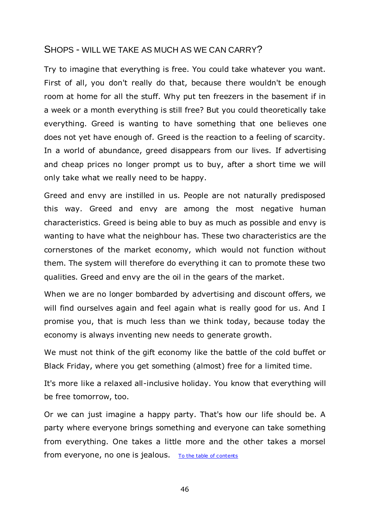### <span id="page-45-0"></span>SHOPS - WILL WE TAKE AS MUCH AS WE CAN CARRY?

Try to imagine that everything is free. You could take whatever you want. First of all, you don't really do that, because there wouldn't be enough room at home for all the stuff. Why put ten freezers in the basement if in a week or a month everything is still free? But you could theoretically take everything. Greed is wanting to have something that one believes one does not yet have enough of. Greed is the reaction to a feeling of scarcity. In a world of abundance, greed disappears from our lives. If advertising and cheap prices no longer prompt us to buy, after a short time we will only take what we really need to be happy.

Greed and envy are instilled in us. People are not naturally predisposed this way. Greed and envy are among the most negative human characteristics. Greed is being able to buy as much as possible and envy is wanting to have what the neighbour has. These two characteristics are the cornerstones of the market economy, which would not function without them. The system will therefore do everything it can to promote these two qualities. Greed and envy are the oil in the gears of the market.

When we are no longer bombarded by advertising and discount offers, we will find ourselves again and feel again what is really good for us. And I promise you, that is much less than we think today, because today the economy is always inventing new needs to generate growth.

We must not think of the gift economy like the battle of the cold buffet or Black Friday, where you get something (almost) free for a limited time.

It's more like a relaxed all-inclusive holiday. You know that everything will be free tomorrow, too.

Or we can just imagine a happy party. That's how our life should be. A party where everyone brings something and everyone can take something from everything. One takes a little more and the other takes a morsel from everyone, no one is jealous. [To the table of contents](#page-2-0)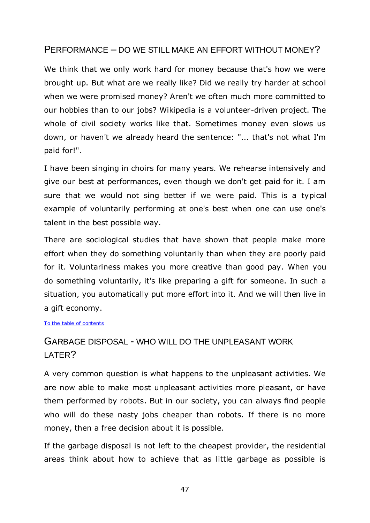### <span id="page-46-0"></span>PERFORMANCE – DO WE STILL MAKE AN EFFORT WITHOUT MONEY?

We think that we only work hard for money because that's how we were brought up. But what are we really like? Did we really try harder at school when we were promised money? Aren't we often much more committed to our hobbies than to our jobs? Wikipedia is a volunteer-driven project. The whole of civil society works like that. Sometimes money even slows us down, or haven't we already heard the sentence: "... that's not what I'm paid for!".

I have been singing in choirs for many years. We rehearse intensively and give our best at performances, even though we don't get paid for it. I am sure that we would not sing better if we were paid. This is a typical example of voluntarily performing at one's best when one can use one's talent in the best possible way.

There are sociological studies that have shown that people make more effort when they do something voluntarily than when they are poorly paid for it. Voluntariness makes you more creative than good pay. When you do something voluntarily, it's like preparing a gift for someone. In such a situation, you automatically put more effort into it. And we will then live in a gift economy.

#### [To the table of contents](#page-2-0)

## <span id="page-46-1"></span>GARBAGE DISPOSAL - WHO WILL DO THE UNPLEASANT WORK LATER?

A very common question is what happens to the unpleasant activities. We are now able to make most unpleasant activities more pleasant, or have them performed by robots. But in our society, you can always find people who will do these nasty jobs cheaper than robots. If there is no more money, then a free decision about it is possible.

If the garbage disposal is not left to the cheapest provider, the residential areas think about how to achieve that as little garbage as possible is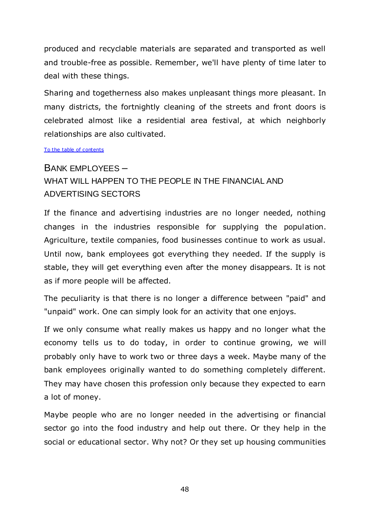produced and recyclable materials are separated and transported as well and trouble-free as possible. Remember, we'll have plenty of time later to deal with these things.

Sharing and togetherness also makes unpleasant things more pleasant. In many districts, the fortnightly cleaning of the streets and front doors is celebrated almost like a residential area festival, at which neighborly relationships are also cultivated.

[To the table of contents](#page-2-0)

# <span id="page-47-0"></span>BANK EMPLOYEES – WHAT WILL HAPPEN TO THE PEOPLE IN THE FINANCIAL AND ADVERTISING SECTORS

If the finance and advertising industries are no longer needed, nothing changes in the industries responsible for supplying the population. Agriculture, textile companies, food businesses continue to work as usual. Until now, bank employees got everything they needed. If the supply is stable, they will get everything even after the money disappears. It is not as if more people will be affected.

The peculiarity is that there is no longer a difference between "paid" and "unpaid" work. One can simply look for an activity that one enjoys.

If we only consume what really makes us happy and no longer what the economy tells us to do today, in order to continue growing, we will probably only have to work two or three days a week. Maybe many of the bank employees originally wanted to do something completely different. They may have chosen this profession only because they expected to earn a lot of money.

Maybe people who are no longer needed in the advertising or financial sector go into the food industry and help out there. Or they help in the social or educational sector. Why not? Or they set up housing communities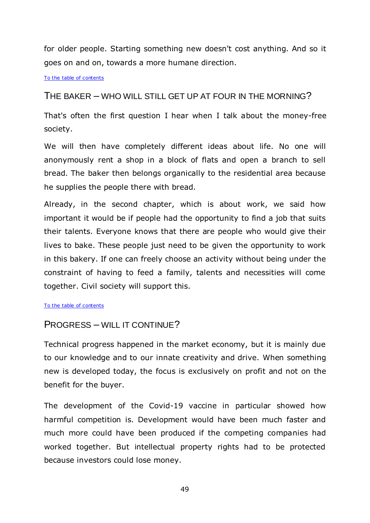for older people. Starting something new doesn't cost anything. And so it goes on and on, towards a more humane direction.

[To the table of contents](#page-2-0)

### <span id="page-48-0"></span>THE BAKER – WHO WILL STILL GET UP AT FOUR IN THE MORNING?

That's often the first question I hear when I talk about the money-free society.

We will then have completely different ideas about life. No one will anonymously rent a shop in a block of flats and open a branch to sell bread. The baker then belongs organically to the residential area because he supplies the people there with bread.

Already, in the second chapter, which is about work, we said how important it would be if people had the opportunity to find a job that suits their talents. Everyone knows that there are people who would give their lives to bake. These people just need to be given the opportunity to work in this bakery. If one can freely choose an activity without being under the constraint of having to feed a family, talents and necessities will come together. Civil society will support this.

#### [To the table of contents](#page-2-0)

### <span id="page-48-1"></span>PROGRESS – WILL IT CONTINUE?

Technical progress happened in the market economy, but it is mainly due to our knowledge and to our innate creativity and drive. When something new is developed today, the focus is exclusively on profit and not on the benefit for the buyer.

The development of the Covid-19 vaccine in particular showed how harmful competition is. Development would have been much faster and much more could have been produced if the competing companies had worked together. But intellectual property rights had to be protected because investors could lose money.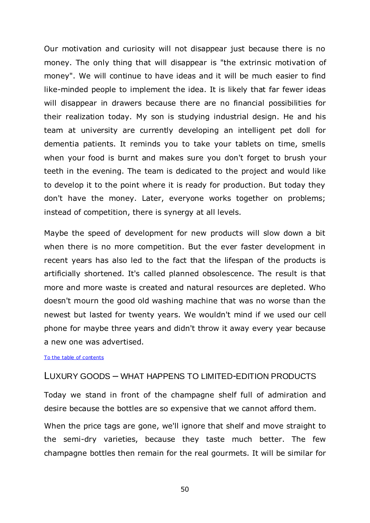Our motivation and curiosity will not disappear just because there is no money. The only thing that will disappear is "the extrinsic motivation of money". We will continue to have ideas and it will be much easier to find like-minded people to implement the idea. It is likely that far fewer ideas will disappear in drawers because there are no financial possibilities for their realization today. My son is studying industrial design. He and his team at university are currently developing an intelligent pet doll for dementia patients. It reminds you to take your tablets on time, smells when your food is burnt and makes sure you don't forget to brush your teeth in the evening. The team is dedicated to the project and would like to develop it to the point where it is ready for production. But today they don't have the money. Later, everyone works together on problems; instead of competition, there is synergy at all levels.

Maybe the speed of development for new products will slow down a bit when there is no more competition. But the ever faster development in recent years has also led to the fact that the lifespan of the products is artificially shortened. It's called planned obsolescence. The result is that more and more waste is created and natural resources are depleted. Who doesn't mourn the good old washing machine that was no worse than the newest but lasted for twenty years. We wouldn't mind if we used our cell phone for maybe three years and didn't throw it away every year because a new one was advertised.

#### [To the table of contents](#page-2-0)

#### <span id="page-49-0"></span>LUXURY GOODS – WHAT HAPPENS TO LIMITED-EDITION PRODUCTS

Today we stand in front of the champagne shelf full of admiration and desire because the bottles are so expensive that we cannot afford them.

When the price tags are gone, we'll ignore that shelf and move straight to the semi-dry varieties, because they taste much better. The few champagne bottles then remain for the real gourmets. It will be similar for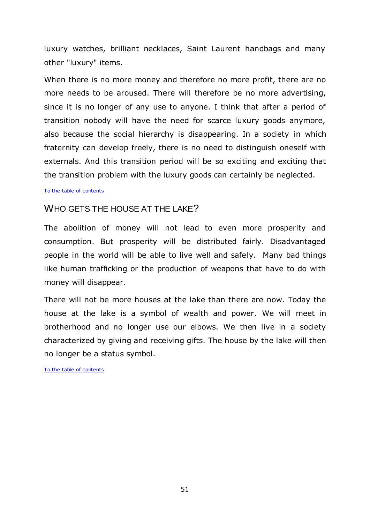luxury watches, brilliant necklaces, Saint Laurent handbags and many other "luxury" items.

When there is no more money and therefore no more profit, there are no more needs to be aroused. There will therefore be no more advertising, since it is no longer of any use to anyone. I think that after a period of transition nobody will have the need for scarce luxury goods anymore, also because the social hierarchy is disappearing. In a society in which fraternity can develop freely, there is no need to distinguish oneself with externals. And this transition period will be so exciting and exciting that the transition problem with the luxury goods can certainly be neglected.

#### [To the table of contents](#page-2-0)

### <span id="page-50-0"></span>WHO GETS THE HOUSE AT THE LAKE?

The abolition of money will not lead to even more prosperity and consumption. But prosperity will be distributed fairly. Disadvantaged people in the world will be able to live well and safely. Many bad things like human trafficking or the production of weapons that have to do with money will disappear.

There will not be more houses at the lake than there are now. Today the house at the lake is a symbol of wealth and power. We will meet in brotherhood and no longer use our elbows. We then live in a society characterized by giving and receiving gifts. The house by the lake will then no longer be a status symbol.

#### [To the table of contents](#page-2-0)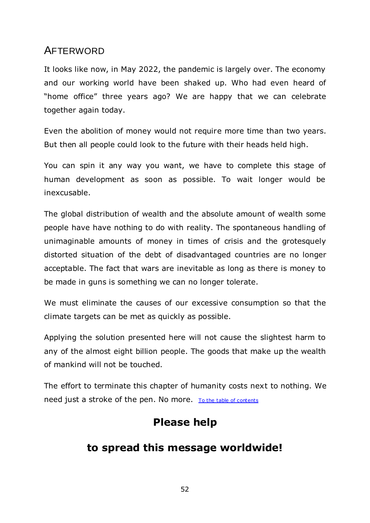# <span id="page-51-0"></span>AFTERWORD

It looks like now, in May 2022, the pandemic is largely over. The economy and our working world have been shaked up. Who had even heard of "home office" three years ago? We are happy that we can celebrate together again today.

Even the abolition of money would not require more time than two years. But then all people could look to the future with their heads held high.

You can spin it any way you want, we have to complete this stage of human development as soon as possible. To wait longer would be inexcusable.

The global distribution of wealth and the absolute amount of wealth some people have have nothing to do with reality. The spontaneous handling of unimaginable amounts of money in times of crisis and the grotesquely distorted situation of the debt of disadvantaged countries are no longer acceptable. The fact that wars are inevitable as long as there is money to be made in guns is something we can no longer tolerate.

We must eliminate the causes of our excessive consumption so that the climate targets can be met as quickly as possible.

Applying the solution presented here will not cause the slightest harm to any of the almost eight billion people. The goods that make up the wealth of mankind will not be touched.

The effort to terminate this chapter of humanity costs next to nothing. We need just a stroke of the pen. No more. [To the table of contents](#page-2-0)

# **Please help**

# **to spread this message worldwide!**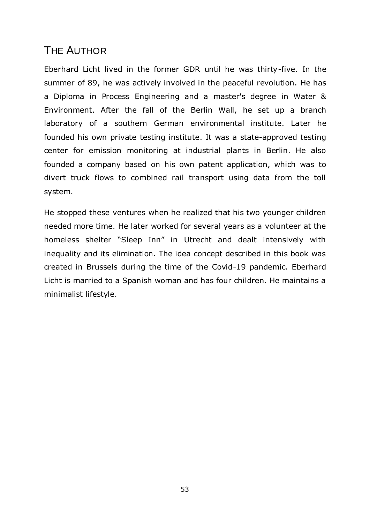# <span id="page-52-0"></span>THE AUTHOR

Eberhard Licht lived in the former GDR until he was thirty-five. In the summer of 89, he was actively involved in the peaceful revolution. He has a Diploma in Process Engineering and a master's degree in Water & Environment. After the fall of the Berlin Wall, he set up a branch laboratory of a southern German environmental institute. Later he founded his own private testing institute. It was a state-approved testing center for emission monitoring at industrial plants in Berlin. He also founded a company based on his own patent application, which was to divert truck flows to combined rail transport using data from the toll system.

He stopped these ventures when he realized that his two younger children needed more time. He later worked for several years as a volunteer at the homeless shelter "Sleep Inn" in Utrecht and dealt intensively with inequality and its elimination. The idea concept described in this book was created in Brussels during the time of the Covid-19 pandemic. Eberhard Licht is married to a Spanish woman and has four children. He maintains a minimalist lifestyle.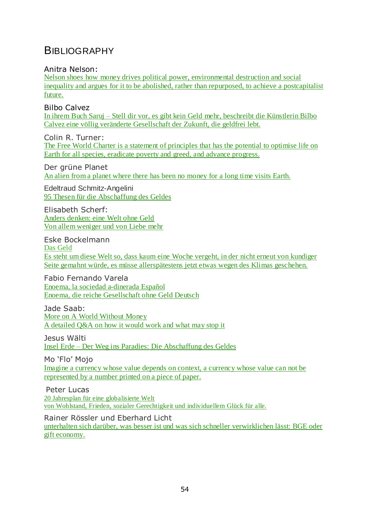# <span id="page-53-0"></span>**BIBLIOGRAPHY**

Anitra Nelson:

Nelson shoes how money drives political power, [environmental](https://anitranelson.info/) destruction and social inequality and argues for it to be abolished, rather than repurposed, to achieve a [postcapitalist](https://anitranelson.info/) [future.](https://anitranelson.info/)

Bilbo Calvez In ihrem Buch Saruj – Stell dir vor, es gibt kein Geld mehr, beschreibt die [Künstlerin](https://www.youtube.com/watch?v=sc6TMHbKUaM) Bilbo Calvez eine völlig veränderte [Gesellschaft](https://www.youtube.com/watch?v=sc6TMHbKUaM) der Zukunft, die geldfrei lebt.

Colin R. Turner: The Free World Charter is a statement of [principles](https://freeworldcharter.org/en) that has the potential to optimise life on Earth for all species, eradicate poverty and greed, and advance [progress.](https://freeworldcharter.org/en)

Der grüne Planet An alien from a planet where there has been no [money](https://www.ldsr-mediatreff.tv/watch.php?vid=fd6632e65) for a long time visits Earth.

Edeltraud Schmitz-Angelini 95 Thesen für die [Abschaffung](http://www.angemitz.ch/media/686823b0a75dc5e1ffffabd5ffffffe6.pdf) des Geldes

Elisabeth Scherf: Anders [denken:](https://www.welt-ohne-geld.de/) eine Welt ohne Geld Von allem [weniger](https://www.welt-ohne-geld.de/) und von Liebe mehr

Eske Bockelmann Das [Geld](https://www.matthes-seitz-berlin.de/buch/das-geld-12762.html) Es steht um diese Welt so, dass kaum eine Woche vergeht, in der nicht erneut von [kundiger](https://vimeopro.com/sunflowerfoundation/eske-bockelmann/video/328497124) Seite gemahnt würde, es müsse [allerspätestens](https://vimeopro.com/sunflowerfoundation/eske-bockelmann/video/328497124) jetzt etwas wegen des Klimas geschehen.

Fabio Fernando Varela Enoema, la sociedad [a-dinerada](https://letusbe.one/documents/Enoema.pdf) Español Enoema, die reiche [Gesellschaft](https://letusbe.one/documents/Enoema_deutsch_02-22.pdf) ohne Geld Deutsch

Jade Saab: More on A World [Without](https://jadesaab.com/more-on-a-world-without-money-6c9f832c5740) Money A [detailed](https://jadesaab.com/more-on-a-world-without-money-6c9f832c5740) Q&A on how it would work and what may stop it

Jesus Wälti Insel Erde – Der Weg ins Paradies: Die [Abschaffung](https://equapio.com/finanzmarkt/insel-erde-der-weg-ins-paradies-die-abschaffung-des-geldes/2/) des Geldes

Mo 'Flo' Mojo Imagine a currency whose value depends on context, a [currency](https://moflomojo.blogspot.com/2016/02/money-doesnt-make-world-go-round.html) whose value can not be [represented](https://moflomojo.blogspot.com/2016/02/money-doesnt-make-world-go-round.html) by a number printed on a piece of paper.

Peter Lucas 20 Jahresplan für eine [globalisierte](http://www.utopia-ist-machbar.de/utopia/index.php) Welt von Wohlstand, Frieden, sozialer Gerechtigkeit und [individuellem](http://www.utopia-ist-machbar.de/utopia/index.php) Glück für alle.

Rainer Rössler und Eberhard Licht

unterhalten sich darüber, was besser ist und was sich schneller [verwirklichen](https://www.youtube.com/watch?v=ScAOOo-zBJY) lässt: BGE oder gift [economy.](https://www.youtube.com/watch?v=ScAOOo-zBJY)